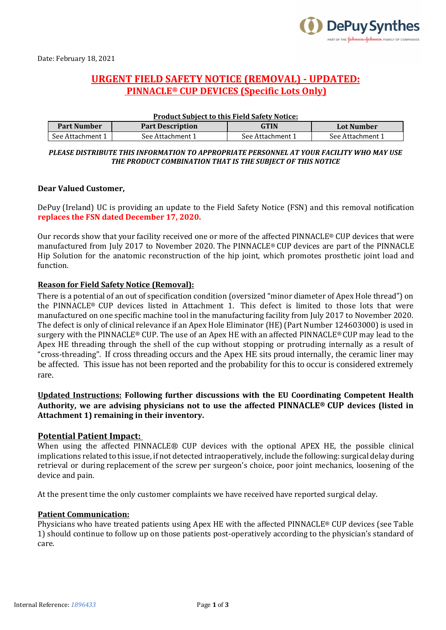

Date: February 18, 2021

# **URGENT FIELD SAFETY NOTICE (REMOVAL) - UPDATED: PINNACLE® CUP DEVICES (Specific Lots Only)**

| <b>Product Subject to this Field Safety Notice:</b> |                         |                  |                  |  |  |  |
|-----------------------------------------------------|-------------------------|------------------|------------------|--|--|--|
| <b>Part Number</b>                                  | <b>Part Description</b> | <b>GTIN</b>      | Lot Number       |  |  |  |
| See Attachment 1                                    | See Attachment 1        | See Attachment 1 | See Attachment 1 |  |  |  |

#### *PLEASE DISTRIBUTE THIS INFORMATION TO APPROPRIATE PERSONNEL AT YOUR FACILITY WHO MAY USE THE PRODUCT COMBINATION THAT IS THE SUBJECT OF THIS NOTICE*

#### **Dear Valued Customer,**

DePuy (Ireland) UC is providing an update to the Field Safety Notice (FSN) and this removal notification **replaces the FSN dated December 17, 2020.**

Our records show that your facility received one or more of the affected PINNACLE® CUP devices that were manufactured from July 2017 to November 2020. The PINNACLE® CUP devices are part of the PINNACLE Hip Solution for the anatomic reconstruction of the hip joint, which promotes prosthetic joint load and function.

#### **Reason for Field Safety Notice (Removal):**

There is a potential of an out of specification condition (oversized "minor diameter of Apex Hole thread") on the PINNACLE® CUP devices listed in Attachment 1. This defect is limited to those lots that were manufactured on one specific machine tool in the manufacturing facility from July 2017 to November 2020. The defect is only of clinical relevance if an Apex Hole Eliminator (HE) (Part Number 124603000) is used in surgery with the PINNACLE® CUP. The use of an Apex HE with an affected PINNACLE® CUP may lead to the Apex HE threading through the shell of the cup without stopping or protruding internally as a result of "cross-threading". If cross threading occurs and the Apex HE sits proud internally, the ceramic liner may be affected. This issue has not been reported and the probability for this to occur is considered extremely rare.

## **Updated Instructions: Following further discussions with the EU Coordinating Competent Health Authority, we are advising physicians not to use the affected PINNACLE® CUP devices (listed in Attachment 1) remaining in their inventory.**

### **Potential Patient Impact:**

When using the affected PINNACLE<sup>®</sup> CUP devices with the optional APEX HE, the possible clinical implications related to this issue, if not detected intraoperatively, include the following: surgical delay during retrieval or during replacement of the screw per surgeon's choice, poor joint mechanics, loosening of the device and pain.

At the present time the only customer complaints we have received have reported surgical delay.

#### **Patient Communication:**

Physicians who have treated patients using Apex HE with the affected PINNACLE® CUP devices (see Table 1) should continue to follow up on those patients post-operatively according to the physician's standard of care.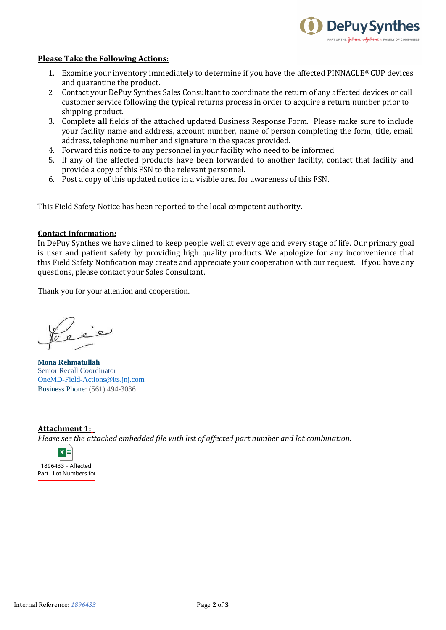

#### **Please Take the Following Actions:**

- 1. Examine your inventory immediately to determine if you have the affected PINNACLE<sup>®</sup> CUP devices and quarantine the product.
- 2. Contact your DePuy Synthes Sales Consultant to coordinate the return of any affected devices or call customer service following the typical returns process in order to acquire a return number prior to shipping product.
- 3. Complete **all** fields of the attached updated Business Response Form. Please make sure to include your facility name and address, account number, name of person completing the form, title, email address, telephone number and signature in the spaces provided.
- 4. Forward this notice to any personnel in your facility who need to be informed.
- 5. If any of the affected products have been forwarded to another facility, contact that facility and provide a copy of this FSN to the relevant personnel.
- 6. Post a copy of this updated notice in a visible area for awareness of this FSN.

This Field Safety Notice has been reported to the local competent authority.

#### **Contact Information***:*

In DePuy Synthes we have aimed to keep people well at every age and every stage of life. Our primary goal is user and patient safety by providing high quality products. We apologize for any inconvenience that this Field Safety Notification may create and appreciate your cooperation with our request. If you have any questions, please contact your Sales Consultant.

Thank you for your attention and cooperation.

**Mona Rehmatullah** Senior Recall Coordinator [OneMD-Field-Actions@its.jnj.com](mailto:OneMD-Field-Actions@its.jnj.com) Business Phone: (561) 494-3036

## **Attachment 1:** *Please see the attached embedded file with list of affected part number and lot combination.*



1896433 - Affected Part Lot Numbers for